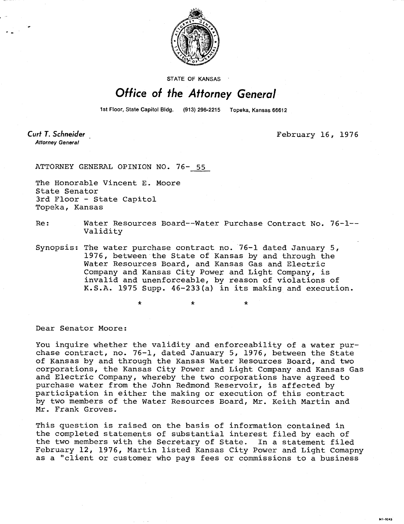

STATE OF KANSAS

## Office of the Attorney General

1st Floor, State Capitol Bldg. (913) 296-2215 Topeka, Kansas 66612

Curt T. Schneider **Attorney General** 

February 16, 1976

MI-1043

ATTORNEY GENERAL OPINION NO. 76- 55

The Honorable Vincent E. Moore State Senator 3rd Floor - State Capitol Topeka, Kansas

Re: Water Resources Board--Water Purchase Contract No. 76-1-- Validity

Synopsis: The water purchase contract no. 76-1 dated January 5, 1976, between the State of Kansas by and through the Water Resources Board, and Kansas Gas and Electric Company and Kansas City Power and Light Company, is invalid and unenforceable, by reason of violations of K.S.A. 1975 Supp. 46-233(a) in its making and execution.

\*

Dear Senator Moore:

You inquire whether the validity and enforceability of a water purchase contract, no. 76-1, dated January 5, 1976, between the State of Kansas by and through the Kansas Water Resources Board, and two corporations, the Kansas City Power and Light Company and Kansas Gas and Electric Company, whereby the two corporations have agreed to purchase water from the John Redmond Reservoir, is affected by participation in either the making or execution of this contract by two members of the Water Resources Board, Mr. Keith Martin and Mr. Frank Groves.

This question is raised on the basis of information contained in the completed statements of substantial interest filed by each of the two members with the Secretary of State. In a statement filed February 12, 1976, Martin listed Kansas City Power and Light Comapny as a "client or customer who pays fees or commissions to a business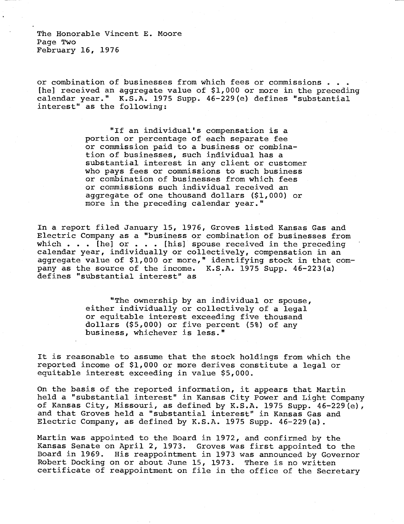The Honorable Vincent E. Moore Page Two February 16, 1976

or combination of businesses from which fees or commissions . . [he] received an aggregate value of \$1,000 or more in the preceding calendar year." K.S.A. 1975 Supp. 46-229(e) defines "substantial interest" as the following:

> "If an individual's compensation is a portion or percentage of each separate fee or commission paid to a business or combination of businesses, such individual has a substantial interest in any client or customer who pays fees or commissions to such business or combination of businesses from which fees or commissions such individual received an aggregate of one thousand dollars (\$1,000) or more in the preceding calendar year."

In a report filed January 15, 1976, Groves listed Kansas Gas and Electric Company as a "business or combination of businesses from which  $\ldots$  [he] or  $\ldots$  [his] spouse received in the preceding calendar year, individually or collectively, compensation in an aggregate value of \$1,000 or more," identifying stock in that company as the source of the income. K.S.A. 1975 Supp. 46-223(a) defines "substantial interest" as

> "The ownership by an individual or spouse, either individually or collectively of a legal or equitable interest exceeding five thousand dollars (\$5,000) or five percent (5%) of any business, whichever is less."

It is reasonable to assume that the stock holdings from which the reported income of \$1,000 or more derives constitute a legal or equitable interest exceeding in value \$5,000.

On the basis of the reported information, it appears that Martin held a "substantial interest" in Kansas City Power and Light Company of Kansas City, Missouri, as defined by K.S.A. 1975 Supp. 46-229(e), and that Groves held a "substantial interest" in Kansas Gas and Electric Company, as defined by K.S.A. 1975 Supp. 46-229(a).

Martin was appointed to the Board in 1972, and confirmed by the Kansas Senate on April 2, 1973. Groves was first appointed to the Board in 1969. His reappointment in 1973 was announced by Governor Robert Docking on or about June 15, 1973. There is no written certificate of reappointment on file in the office of the Secretary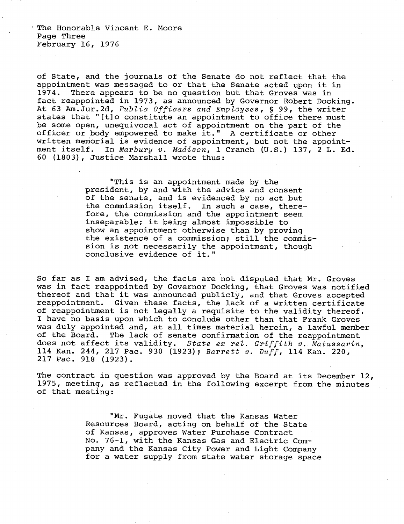The Honorable Vincent E. Moore Page Three February 16, 1976

of State, and the journals of the Senate do not reflect that the appointment was messaged to or that the Senate acted upon it in 1974. There appears to be no question but that Groves was in fact reappointed in 1973, as announced by Governor Robert Docking. At 63 Am.Jur.2d, Public Officers and Employees, § 99, the writer states that "[t]o constitute an appointment to office there must be some open, unequivocal act of appointment on the part of the officer or body empowered to make it." A certificate or other written memorial is evidence of appointment, but not the appointment itself. In Marbury v. Madison, 1 Cranch (U.S.) 137, 2 L. Ed. 60 (1803), Justice Marshall wrote thus:

> "This is an appointment made by the president, by and with the advice and consent of the senate, and is evidenced by no act but the commission itself. In such a case, therefore, the commission and the appointment seem inseparable; it being almost impossible to show an appointment otherwise than by proving the existence of a commission; still the commission is not necessarily the appointment, though conclusive evidence of it."

So far as I am advised, the facts are not disputed that Mr. Groves was in fact reappointed by Governor Docking, that Groves was notified thereof and that it was announced publicly, and that Groves accepted reappointment. Given these facts, the lack of a written certificate of reappointment is not legally a requisite to the validity thereof. I have no basis upon which to conclude other than that Frank Groves was duly appointed and, at all times material herein, a lawful member of the Board. The lack of senate confirmation of the reappointment does not affect its validity. State ex rel. Griffith v. Matassarin, 114 Kan. 244, 217 Pac. 930 (1923); Barrett v. Duff, 114 Kan. 220, 217 Pac. 918 (1923).

The contract in question was approved by the Board at its December 12, 1975, meeting, as reflected in the following excerpt from the minutes of that meeting:

> "Mr. Fugate moved that the Kansas Water Resources Board, acting on behalf of the State of Kansas, approves Water Purchase Contract No. 76-1, with the Kansas Gas and Electric Company and the Kansas City Power and Light Company for a water supply from state water storage space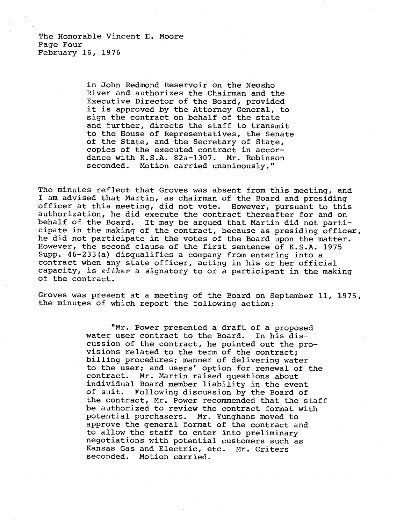The Honorable Vincent E. Moore Page Four February 16, 1976

> in John Redmond Reservoir on the Neosho River and authorizes the Chairman and the Executive Director of the Board, provided it is approved by the Attorney General, to sign the contract on behalf of the state and further, directs the staff to transmit to the House of Representatives, the Senate of the State, and the Secretary of State, copies of the executed contract in accordance with K.S.A. 82a-1307. Mr. Robinson seconded. Motion carried unanimously."

The minutes reflect that Groves was absent from this meeting, and I am advised that Martin, as chairman of the Board and presiding officer at this meeting, did not vote. However, pursuant to this authorization, he did execute the contract thereafter for and on behalf of the Board. It may be argued that Martin did not participate in the making of the contract, because as presiding officer, he did not participate in the votes of the Board upon the matter. However, the second clause of the first sentence of K.S.A. 1975 Supp. 46-233(a) disqualifies a company from entering into a contract when any state officer, acting in his or her official capacity, is either a signatory to or a participant in the making of the contract.

Groves was present at a meeting of the Board on September 11, 1975, the minutes of which report the following action:

> "Mr. Power presented a draft of a proposed water user contract to the Board. In his discussion of the contract, he pointed out the provisions related to the term of the contract; billing procedures; manner of delivering water to the user; and users' option for renewal of the contract. Mr. Martin raised questions about individual Board member liability in the event of suit. Following discussion by the Board of the contract, Mr. Power recommended that the staff be authorized to review the contract format with potential purchasers. Mr. Yunghans moved to approve the general format of the contract and to allow the staff to enter into preliminary negotiations with potential customers such as Kansas Gas and Electric, etc. Mr. Criters seconded. Motion carried.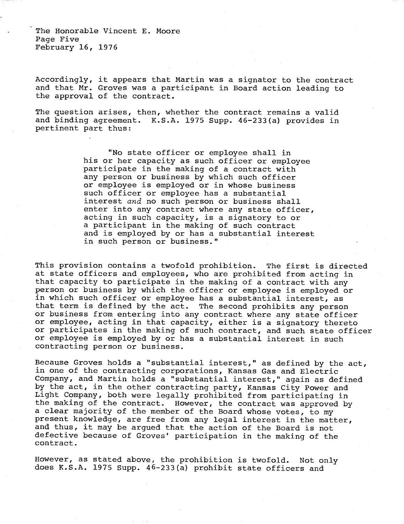The Honorable Vincent E. Moore Page Five February 16, 1976

Accordingly, it appears that Martin was a signator to the contract and that Mr. Groves was a participant in Board action leading to the approval of the contract.

The question arises, then, whether the contract remains a valid and binding agreement. K.S.A. 1975 Supp. 46-233(a) provides in pertinent part thus:

> "No state officer or employee shall in his or her capacity as such officer or employee participate in the making of a contract with any person or business by which such officer or employee is employed or in whose business such officer or employee has a substantial interest and no such person or business shall enter into any contract where any state officer, acting in such capacity, is a signatory to or a participant in the making of such contract and is employed by or has a substantial interest in such person or business."

This provision contains a twofold prohibition. The first is directed at state officers and employees, who are prohibited from acting in that capacity to participate in the making of a contract with any person or business by which the officer or employee is employed or in which such officer or employee has a substantial interest, as that term is defined by the act. The second prohibits any person or business from entering into any contract where any state officer or employee, acting in that capacity, either is a signatory thereto or participates in the making of such contract, and such state officer or employee is employed by or has a substantial interest in such contracting person or business.

Because Groves holds a "substantial interest," as defined by the act, in one of the contracting corporations, Kansas Gas and Electric Company, and Martin holds a "substantial interest," again as defined by the act, in the other contracting party, Kansas City Power and Light Company, both were legally prohibited from participating in the making of the contract. However, the contract was approved by a clear majority of the member of the Board whose votes, to my present knowledge, are free from any legal interest in the matter, and thus, it may be argued that the action of the Board is not defective because of Groves' participation in the making of the contract.

However, as stated above, the prohibition is twofold. Not only does K.S.A. 1975 Supp. 46-233(a) prohibit state officers and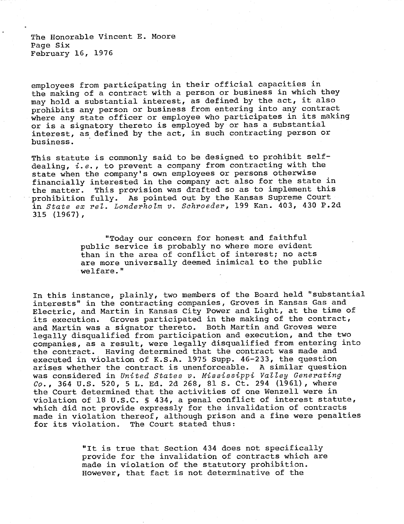The Honorable Vincent E. Moore Page Six February 16, 1976

employees from participating in their official capacities in the making of a contract with a person or business in which they may hold a substantial interest, as defined by the act, it also prohibits any person or business from entering into any contract where any state officer or employee who participates in its making or is a signatory thereto is employed by or has a substantial interest, as defined by the act, in such contracting person or business.

This statute is commonly said to be designed to prohibit selfdealing,  $i.e.,$  to prevent a company from contracting with the state when the company's own employees or persons otherwise financially interested in the company act also for the state in the matter. This provision was drafted so as to implement this prohibition fully. As pointed out by the Kansas Supreme Court in State ex rel. Londerholm v. Schroeder, 199 Kan. 403, 430 P.2d 315 (1967),

> "Today our concern for honest and faithful public service is probably no where more evident than in the area of conflict of interest; no acts are more universally deemed inimical to the public welfare."

In this instance, plainly, two members of the Board held "substantial interests" in the contracting companies, Groves in Kansas Gas and Electric, and Martin in Kansas City Power and Light, at the time of its execution. Groves participated in the making of the contract, and Martin was a signator thereto. Both Martin and Groves were legally disqualified from participation and execution, and the two companies, as a result, were legally disqualified from entering into the contract. Having determined that the contract was made and executed in violation of K.S.A. 1975 Supp. 46-233, the question arises whether the contract is unenforceable. A similar question was considered in United States v. Mississippi Valley Generating Co., 364 U.S. 520, 5 L. Ed. 2d 268, 81 S. Ct. 294 (1961), where the Court determined that the activities of one Wenzell were in violation of 18 U.S.C. § 434, a penal conflict of interest statute, which did not provide expressly for the invalidation of contracts made in violation thereof, although prison and a fine were penalties for its violation. The Court stated thus:

> "It is true that Section 434 does not specifically provide for the invalidation of contracts which are made in violation of the statutory prohibition. However, that fact is not determinative of the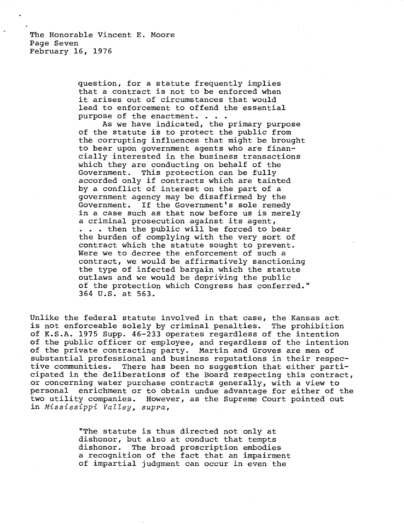The Honorable Vincent E. Moore Page Seven February 16, 1976

> question, for a statute frequently implies that a contract is not to be enforced when it arises out of circumstances that would lead to enforcement to offend the essential purpose of the enactment. . . .

As we have indicated, the primary purpose of the statute is to protect the public from the corrupting influences that might be brought to bear upon government agents who are financially interested in the business transactions which they are conducting on behalf of the Government. This protection can be fully accorded only if contracts which are tainted by a conflict of interest on the part of a government agency may be disaffirmed by the Government. If the Government's sole remedy in a case such as that now before us is merely a criminal prosecution against its agent, . . . then the public will be forced to bear the burden of complying with the very sort of contract which the statute sought to prevent. Were we to decree the enforcement of such a contract, we would be affirmatively sanctioning the type of infected bargain which the statute outlaws and we would be depriving the public of the protection which Congress has conferred." 364 U.S. at 563.

Unlike the federal statute involved in that case, the Kansas act is not enforceable solely by criminal penalties. The prohibition of K.S.A. 1975 Supp. 46-233 operates regardless of the intention of the public officer or employee, and regardless of the intention of the private contracting party. Martin and Groves are men of substantial professional and business reputations in their respective communities. There has been no suggestion that either participated in the deliberations of the Board respecting this contract, or concerning water purchase contracts generally, with a view to personal enrichment or to obtain undue advantage for either of the two utility companies. However, as the Supreme Court pointed out in Mississippi Valley, supra,

> "The statute is thus directed not only at dishonor, but also at conduct that tempts dishonor. The broad proscription embodies a recognition of the fact that an impairment of impartial judgment can occur in even the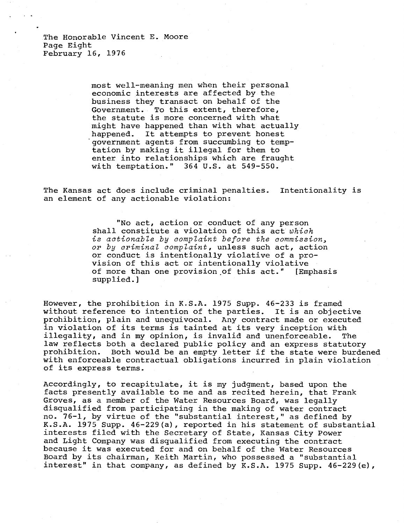The Honorable Vincent E. Moore Page Eight February 16, 1976

> most well-meaning men when their personal economic interests are affected by the business they transact on behalf of the Government. To this extent, therefore, the statute is more concerned with what might have happened than with what actually happened. It attempts to prevent honest 'government agents from succumbing to temptation by making it illegal for them to enter into relationships which are fraught with temptation." 364 U.S. at 549-550.

The Kansas act does include criminal penalties. Intentionality is an element of any actionable violation:

> "No act, action or conduct of any person shall constitute a violation of this act which is actionable by complaint before the commission, or by criminal complaint, unless such act, action or conduct is intentionally violative of a provision of this act or intentionally violative of more than one provision of this act." [Emphasis supplied.]

However, the prohibition in K.S.A. 1975 Supp. 46-233 is framed without reference to intention of the parties. It is an objective prohibition, plain and unequivocal. Any contract made or executed in violation of its terms is tainted at its very inception with illegality, and in my opinion, is invalid and unenforceable. The law reflects both a declared public policy and an express statutory prohibition. Both would be an empty letter if the state were burdened with enforceable contractual obligations incurred in plain violation of its express terms.

Accordingly, to recapitulate, it is my judgment, based upon the facts presently available to me and as recited herein, that Frank Groves, as a member of the Water Resources Board, was legally disqualified from participating in the making of water contract no. 76-1, by virtue of the "substantial interest," as defined by K.S.A. 1975 Supp. 46-229(a), reported in his statement of substantial interests filed with the Secretary of State, Kansas City Power and Light Company was disqualified from executing the contract because it was executed for and on behalf of the Water Resources Board by its chairman, Keith Martin, who possessed a "substantial interest" in that company, as defined by K.S.A. 1975 Supp. 46-229(e),